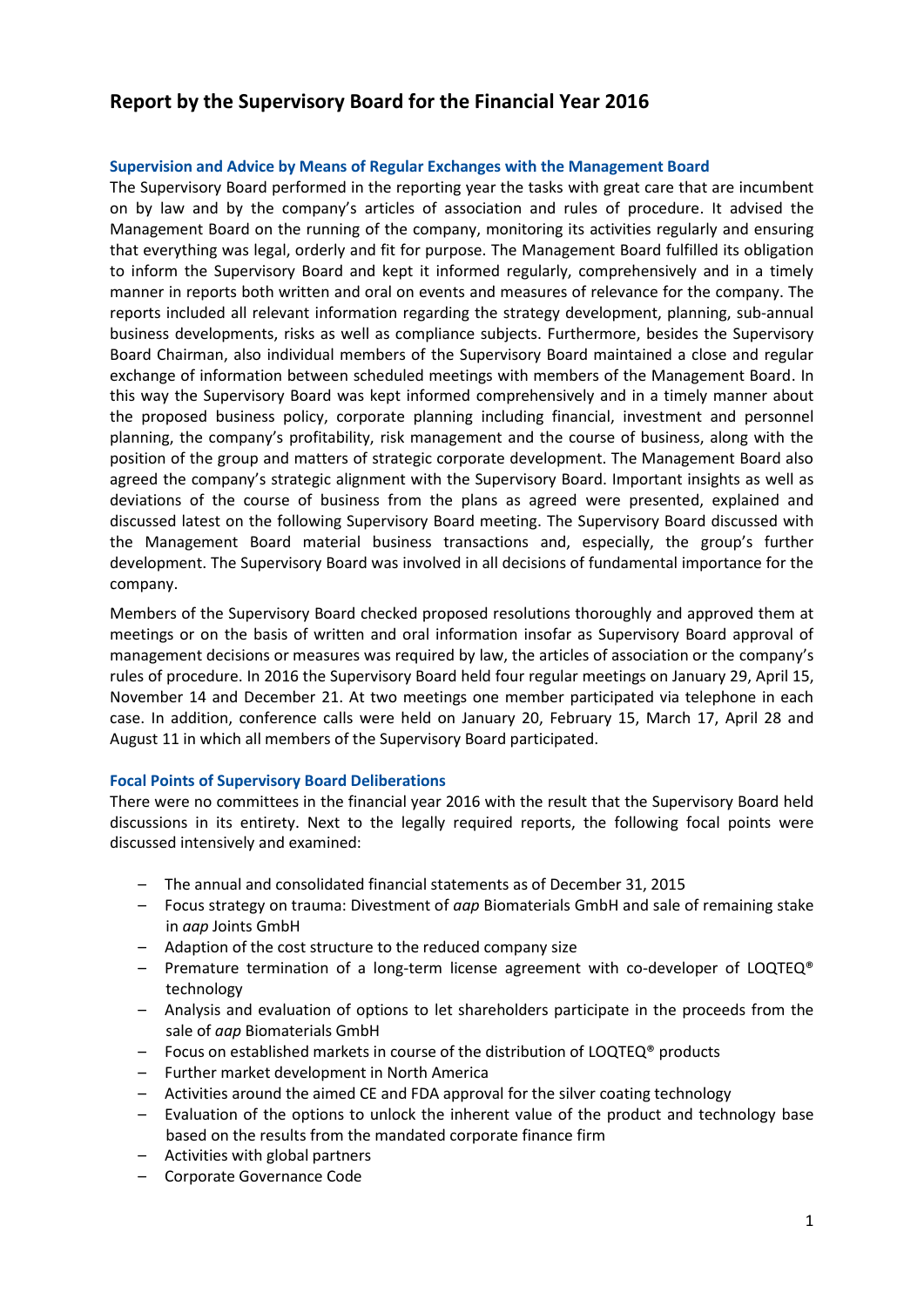# **Report by the Supervisory Board for the Financial Year 2016**

## **Supervision and Advice by Means of Regular Exchanges with the Management Board**

The Supervisory Board performed in the reporting year the tasks with great care that are incumbent on by law and by the company's articles of association and rules of procedure. It advised the Management Board on the running of the company, monitoring its activities regularly and ensuring that everything was legal, orderly and fit for purpose. The Management Board fulfilled its obligation to inform the Supervisory Board and kept it informed regularly, comprehensively and in a timely manner in reports both written and oral on events and measures of relevance for the company. The reports included all relevant information regarding the strategy development, planning, sub-annual business developments, risks as well as compliance subjects. Furthermore, besides the Supervisory Board Chairman, also individual members of the Supervisory Board maintained a close and regular exchange of information between scheduled meetings with members of the Management Board. In this way the Supervisory Board was kept informed comprehensively and in a timely manner about the proposed business policy, corporate planning including financial, investment and personnel planning, the company's profitability, risk management and the course of business, along with the position of the group and matters of strategic corporate development. The Management Board also agreed the company's strategic alignment with the Supervisory Board. Important insights as well as deviations of the course of business from the plans as agreed were presented, explained and discussed latest on the following Supervisory Board meeting. The Supervisory Board discussed with the Management Board material business transactions and, especially, the group's further development. The Supervisory Board was involved in all decisions of fundamental importance for the company.

Members of the Supervisory Board checked proposed resolutions thoroughly and approved them at meetings or on the basis of written and oral information insofar as Supervisory Board approval of management decisions or measures was required by law, the articles of association or the company's rules of procedure. In 2016 the Supervisory Board held four regular meetings on January 29, April 15, November 14 and December 21. At two meetings one member participated via telephone in each case. In addition, conference calls were held on January 20, February 15, March 17, April 28 and August 11 in which all members of the Supervisory Board participated.

## **Focal Points of Supervisory Board Deliberations**

There were no committees in the financial year 2016 with the result that the Supervisory Board held discussions in its entirety. Next to the legally required reports, the following focal points were discussed intensively and examined:

- The annual and consolidated financial statements as of December 31, 2015
- Focus strategy on trauma: Divestment of *aap* Biomaterials GmbH and sale of remaining stake in *aap* Joints GmbH
- Adaption of the cost structure to the reduced company size
- Premature termination of a long-term license agreement with co-developer of LOQTEQ® technology
- Analysis and evaluation of options to let shareholders participate in the proceeds from the sale of *aap* Biomaterials GmbH
- Focus on established markets in course of the distribution of LOQTEQ® products
- Further market development in North America
- Activities around the aimed CE and FDA approval for the silver coating technology
- Evaluation of the options to unlock the inherent value of the product and technology base based on the results from the mandated corporate finance firm
- Activities with global partners
- Corporate Governance Code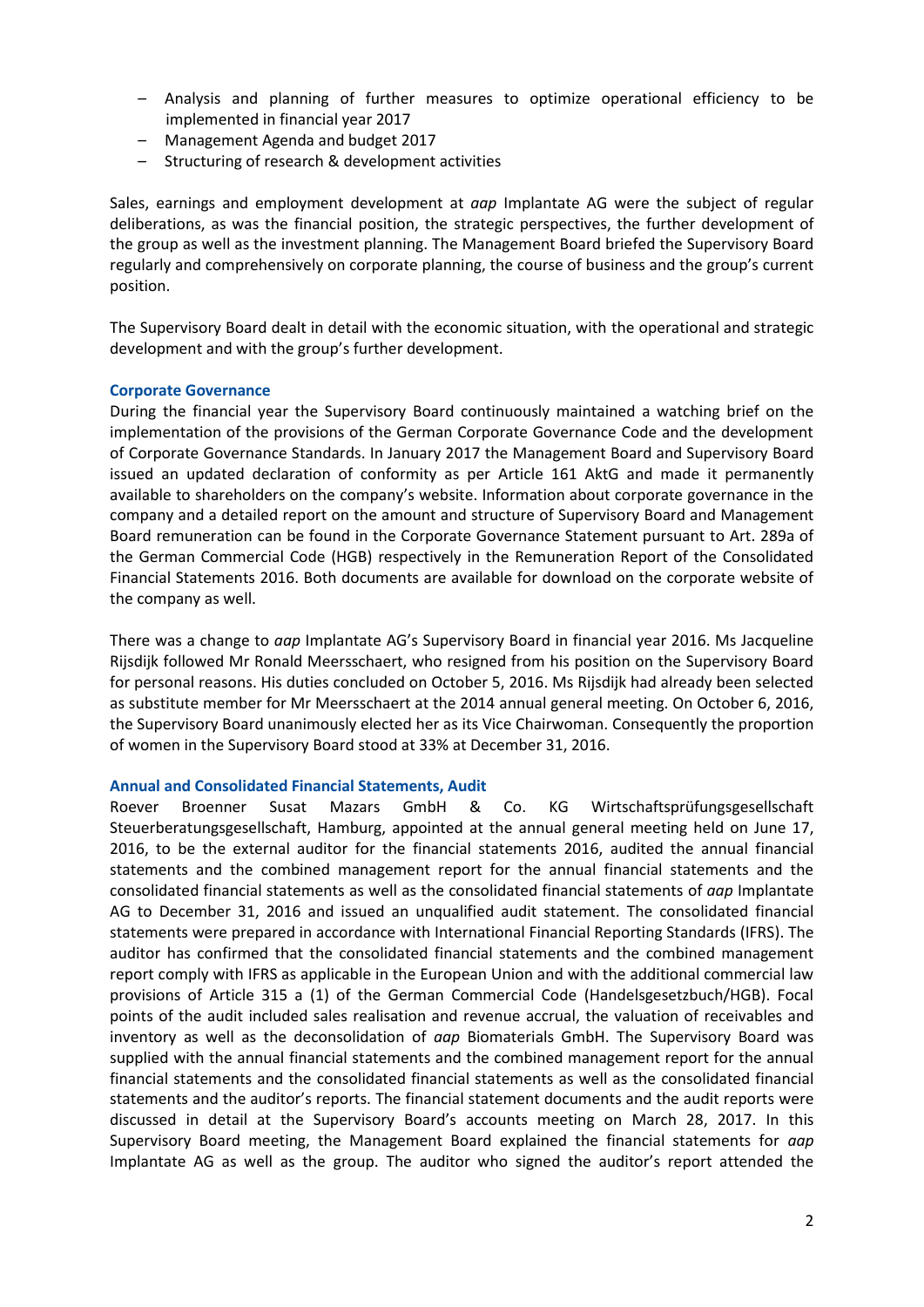- Analysis and planning of further measures to optimize operational efficiency to be implemented in financial year 2017
- Management Agenda and budget 2017
- Structuring of research & development activities

Sales, earnings and employment development at *aap* Implantate AG were the subject of regular deliberations, as was the financial position, the strategic perspectives, the further development of the group as well as the investment planning. The Management Board briefed the Supervisory Board regularly and comprehensively on corporate planning, the course of business and the group's current position.

The Supervisory Board dealt in detail with the economic situation, with the operational and strategic development and with the group's further development.

## **Corporate Governance**

During the financial year the Supervisory Board continuously maintained a watching brief on the implementation of the provisions of the German Corporate Governance Code and the development of Corporate Governance Standards. In January 2017 the Management Board and Supervisory Board issued an updated declaration of conformity as per Article 161 AktG and made it permanently available to shareholders on the company's website. Information about corporate governance in the company and a detailed report on the amount and structure of Supervisory Board and Management Board remuneration can be found in the Corporate Governance Statement pursuant to Art. 289a of the German Commercial Code (HGB) respectively in the Remuneration Report of the Consolidated Financial Statements 2016. Both documents are available for download on the corporate website of the company as well.

There was a change to *aap* Implantate AG's Supervisory Board in financial year 2016. Ms Jacqueline Rijsdijk followed Mr Ronald Meersschaert, who resigned from his position on the Supervisory Board for personal reasons. His duties concluded on October 5, 2016. Ms Rijsdijk had already been selected as substitute member for Mr Meersschaert at the 2014 annual general meeting. On October 6, 2016, the Supervisory Board unanimously elected her as its Vice Chairwoman. Consequently the proportion of women in the Supervisory Board stood at 33% at December 31, 2016.

#### **Annual and Consolidated Financial Statements, Audit**

Roever Broenner Susat Mazars GmbH & Co. KG Wirtschaftsprüfungsgesellschaft Steuerberatungsgesellschaft, Hamburg, appointed at the annual general meeting held on June 17, 2016, to be the external auditor for the financial statements 2016, audited the annual financial statements and the combined management report for the annual financial statements and the consolidated financial statements as well as the consolidated financial statements of *aap* Implantate AG to December 31, 2016 and issued an unqualified audit statement. The consolidated financial statements were prepared in accordance with International Financial Reporting Standards (IFRS). The auditor has confirmed that the consolidated financial statements and the combined management report comply with IFRS as applicable in the European Union and with the additional commercial law provisions of Article 315 a (1) of the German Commercial Code (Handelsgesetzbuch/HGB). Focal points of the audit included sales realisation and revenue accrual, the valuation of receivables and inventory as well as the deconsolidation of *aap* Biomaterials GmbH. The Supervisory Board was supplied with the annual financial statements and the combined management report for the annual financial statements and the consolidated financial statements as well as the consolidated financial statements and the auditor's reports. The financial statement documents and the audit reports were discussed in detail at the Supervisory Board's accounts meeting on March 28, 2017. In this Supervisory Board meeting, the Management Board explained the financial statements for *aap* Implantate AG as well as the group. The auditor who signed the auditor's report attended the